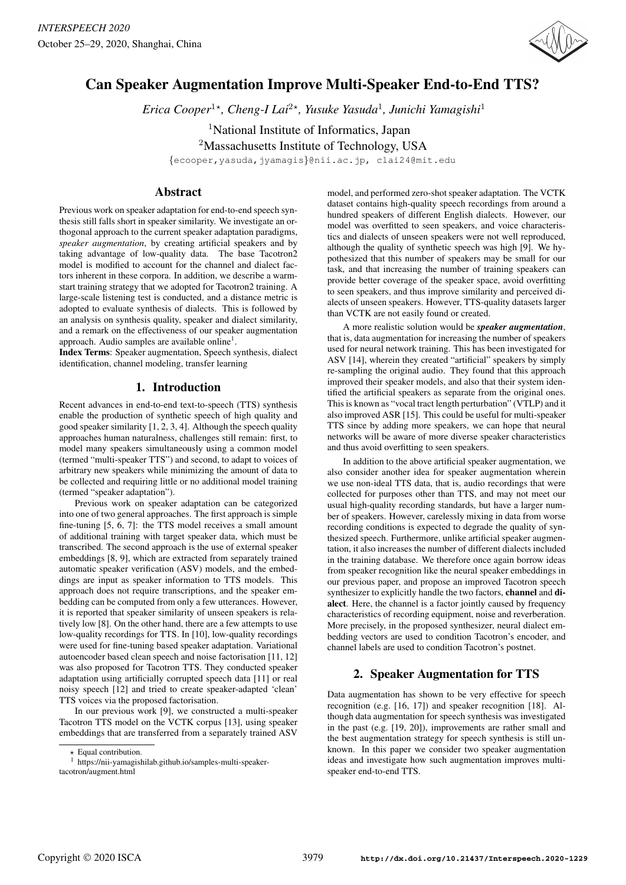

# Can Speaker Augmentation Improve Multi-Speaker End-to-End TTS?

 $E$ rica Cooper<sup>1\*</sup>, Cheng-I Lai<sup>2\*</sup>, Yusuke Yasuda<sup>1</sup>, Junichi Yamagishi<sup>1</sup>

<sup>1</sup>National Institute of Informatics, Japan

<sup>2</sup>Massachusetts Institute of Technology, USA

{ecooper,yasuda,jyamagis}@nii.ac.jp, clai24@mit.edu

# Abstract

Previous work on speaker adaptation for end-to-end speech synthesis still falls short in speaker similarity. We investigate an orthogonal approach to the current speaker adaptation paradigms, *speaker augmentation*, by creating artificial speakers and by taking advantage of low-quality data. The base Tacotron2 model is modified to account for the channel and dialect factors inherent in these corpora. In addition, we describe a warmstart training strategy that we adopted for Tacotron2 training. A large-scale listening test is conducted, and a distance metric is adopted to evaluate synthesis of dialects. This is followed by an analysis on synthesis quality, speaker and dialect similarity, and a remark on the effectiveness of our speaker augmentation approach. Audio samples are available online<sup>1</sup>.

Index Terms: Speaker augmentation, Speech synthesis, dialect identification, channel modeling, transfer learning

# 1. Introduction

Recent advances in end-to-end text-to-speech (TTS) synthesis enable the production of synthetic speech of high quality and good speaker similarity [1, 2, 3, 4]. Although the speech quality approaches human naturalness, challenges still remain: first, to model many speakers simultaneously using a common model (termed "multi-speaker TTS") and second, to adapt to voices of arbitrary new speakers while minimizing the amount of data to be collected and requiring little or no additional model training (termed "speaker adaptation").

Previous work on speaker adaptation can be categorized into one of two general approaches. The first approach is simple fine-tuning [5, 6, 7]: the TTS model receives a small amount of additional training with target speaker data, which must be transcribed. The second approach is the use of external speaker embeddings [8, 9], which are extracted from separately trained automatic speaker verification (ASV) models, and the embeddings are input as speaker information to TTS models. This approach does not require transcriptions, and the speaker embedding can be computed from only a few utterances. However, it is reported that speaker similarity of unseen speakers is relatively low [8]. On the other hand, there are a few attempts to use low-quality recordings for TTS. In [10], low-quality recordings were used for fine-tuning based speaker adaptation. Variational autoencoder based clean speech and noise factorisation [11, 12] was also proposed for Tacotron TTS. They conducted speaker adaptation using artificially corrupted speech data [11] or real noisy speech [12] and tried to create speaker-adapted 'clean' TTS voices via the proposed factorisation.

In our previous work [9], we constructed a multi-speaker Tacotron TTS model on the VCTK corpus [13], using speaker embeddings that are transferred from a separately trained ASV

model, and performed zero-shot speaker adaptation. The VCTK dataset contains high-quality speech recordings from around a hundred speakers of different English dialects. However, our model was overfitted to seen speakers, and voice characteristics and dialects of unseen speakers were not well reproduced, although the quality of synthetic speech was high [9]. We hypothesized that this number of speakers may be small for our task, and that increasing the number of training speakers can provide better coverage of the speaker space, avoid overfitting to seen speakers, and thus improve similarity and perceived dialects of unseen speakers. However, TTS-quality datasets larger than VCTK are not easily found or created.

A more realistic solution would be *speaker augmentation*, that is, data augmentation for increasing the number of speakers used for neural network training. This has been investigated for ASV [14], wherein they created "artificial" speakers by simply re-sampling the original audio. They found that this approach improved their speaker models, and also that their system identified the artificial speakers as separate from the original ones. This is known as "vocal tract length perturbation" (VTLP) and it also improved ASR [15]. This could be useful for multi-speaker TTS since by adding more speakers, we can hope that neural networks will be aware of more diverse speaker characteristics and thus avoid overfitting to seen speakers.

In addition to the above artificial speaker augmentation, we also consider another idea for speaker augmentation wherein we use non-ideal TTS data, that is, audio recordings that were collected for purposes other than TTS, and may not meet our usual high-quality recording standards, but have a larger number of speakers. However, carelessly mixing in data from worse recording conditions is expected to degrade the quality of synthesized speech. Furthermore, unlike artificial speaker augmentation, it also increases the number of different dialects included in the training database. We therefore once again borrow ideas from speaker recognition like the neural speaker embeddings in our previous paper, and propose an improved Tacotron speech synthesizer to explicitly handle the two factors, channel and dialect. Here, the channel is a factor jointly caused by frequency characteristics of recording equipment, noise and reverberation. More precisely, in the proposed synthesizer, neural dialect embedding vectors are used to condition Tacotron's encoder, and channel labels are used to condition Tacotron's postnet.

# 2. Speaker Augmentation for TTS

Data augmentation has shown to be very effective for speech recognition (e.g. [16, 17]) and speaker recognition [18]. Although data augmentation for speech synthesis was investigated in the past (e.g. [19, 20]), improvements are rather small and the best augmentation strategy for speech synthesis is still unknown. In this paper we consider two speaker augmentation ideas and investigate how such augmentation improves multispeaker end-to-end TTS.

 $\star$ Equal contribution.

<sup>1</sup> https://nii-yamagishilab.github.io/samples-multi-speakertacotron/augment.html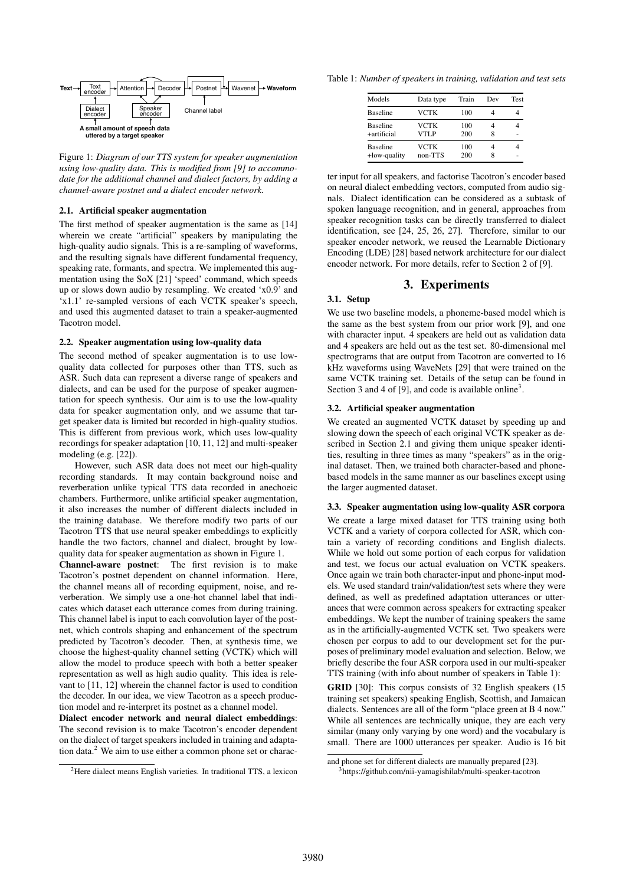

Figure 1: *Diagram of our TTS system for speaker augmentation using low-quality data. This is modified from [9] to accommodate for the additional channel and dialect factors, by adding a channel-aware postnet and a dialect encoder network.*

#### 2.1. Artificial speaker augmentation

The first method of speaker augmentation is the same as [14] wherein we create "artificial" speakers by manipulating the high-quality audio signals. This is a re-sampling of waveforms, and the resulting signals have different fundamental frequency, speaking rate, formants, and spectra. We implemented this augmentation using the SoX [21] 'speed' command, which speeds up or slows down audio by resampling. We created 'x0.9' and 'x1.1' re-sampled versions of each VCTK speaker's speech, and used this augmented dataset to train a speaker-augmented Tacotron model.

#### 2.2. Speaker augmentation using low-quality data

The second method of speaker augmentation is to use lowquality data collected for purposes other than TTS, such as ASR. Such data can represent a diverse range of speakers and dialects, and can be used for the purpose of speaker augmentation for speech synthesis. Our aim is to use the low-quality data for speaker augmentation only, and we assume that target speaker data is limited but recorded in high-quality studios. This is different from previous work, which uses low-quality recordings for speaker adaptation [10, 11, 12] and multi-speaker modeling (e.g. [22]).

However, such ASR data does not meet our high-quality recording standards. It may contain background noise and reverberation unlike typical TTS data recorded in anechoeic chambers. Furthermore, unlike artificial speaker augmentation, it also increases the number of different dialects included in the training database. We therefore modify two parts of our Tacotron TTS that use neural speaker embeddings to explicitly handle the two factors, channel and dialect, brought by lowquality data for speaker augmentation as shown in Figure 1.

Channel-aware postnet: The first revision is to make Tacotron's postnet dependent on channel information. Here, the channel means all of recording equipment, noise, and reverberation. We simply use a one-hot channel label that indicates which dataset each utterance comes from during training. This channel label is input to each convolution layer of the postnet, which controls shaping and enhancement of the spectrum predicted by Tacotron's decoder. Then, at synthesis time, we choose the highest-quality channel setting (VCTK) which will allow the model to produce speech with both a better speaker representation as well as high audio quality. This idea is relevant to [11, 12] wherein the channel factor is used to condition the decoder. In our idea, we view Tacotron as a speech production model and re-interpret its postnet as a channel model.

Dialect encoder network and neural dialect embeddings: The second revision is to make Tacotron's encoder dependent on the dialect of target speakers included in training and adaptation data.<sup>2</sup> We aim to use either a common phone set or characTable 1: *Number of speakers in training, validation and test sets*

| Models                          | Data type           | Train      | Dev | <b>Test</b> |
|---------------------------------|---------------------|------------|-----|-------------|
| <b>Baseline</b>                 | VCTK                | 100        |     |             |
| <b>Baseline</b><br>+artificial  | VCTK<br><b>VTLP</b> | 100<br>200 | 8   |             |
| <b>Baseline</b><br>+low-quality | VCTK<br>non-TTS     | 100<br>200 | 8   |             |

ter input for all speakers, and factorise Tacotron's encoder based on neural dialect embedding vectors, computed from audio signals. Dialect identification can be considered as a subtask of spoken language recognition, and in general, approaches from speaker recognition tasks can be directly transferred to dialect identification, see [24, 25, 26, 27]. Therefore, similar to our speaker encoder network, we reused the Learnable Dictionary Encoding (LDE) [28] based network architecture for our dialect encoder network. For more details, refer to Section 2 of [9].

### 3. Experiments

#### 3.1. Setup

We use two baseline models, a phoneme-based model which is the same as the best system from our prior work [9], and one with character input. 4 speakers are held out as validation data and 4 speakers are held out as the test set. 80-dimensional mel spectrograms that are output from Tacotron are converted to 16 kHz waveforms using WaveNets [29] that were trained on the same VCTK training set. Details of the setup can be found in Section 3 and 4 of [9], and code is available online<sup>3</sup>.

#### 3.2. Artificial speaker augmentation

We created an augmented VCTK dataset by speeding up and slowing down the speech of each original VCTK speaker as described in Section 2.1 and giving them unique speaker identities, resulting in three times as many "speakers" as in the original dataset. Then, we trained both character-based and phonebased models in the same manner as our baselines except using the larger augmented dataset.

#### 3.3. Speaker augmentation using low-quality ASR corpora

We create a large mixed dataset for TTS training using both VCTK and a variety of corpora collected for ASR, which contain a variety of recording conditions and English dialects. While we hold out some portion of each corpus for validation and test, we focus our actual evaluation on VCTK speakers. Once again we train both character-input and phone-input models. We used standard train/validation/test sets where they were defined, as well as predefined adaptation utterances or utterances that were common across speakers for extracting speaker embeddings. We kept the number of training speakers the same as in the artificially-augmented VCTK set. Two speakers were chosen per corpus to add to our development set for the purposes of preliminary model evaluation and selection. Below, we briefly describe the four ASR corpora used in our multi-speaker TTS training (with info about number of speakers in Table 1):

GRID [30]: This corpus consists of 32 English speakers (15) training set speakers) speaking English, Scottish, and Jamaican dialects. Sentences are all of the form "place green at B 4 now." While all sentences are technically unique, they are each very similar (many only varying by one word) and the vocabulary is small. There are 1000 utterances per speaker. Audio is 16 bit

<sup>2</sup>Here dialect means English varieties. In traditional TTS, a lexicon

and phone set for different dialects are manually prepared [23]. 3https://github.com/nii-yamagishilab/multi-speaker-tacotron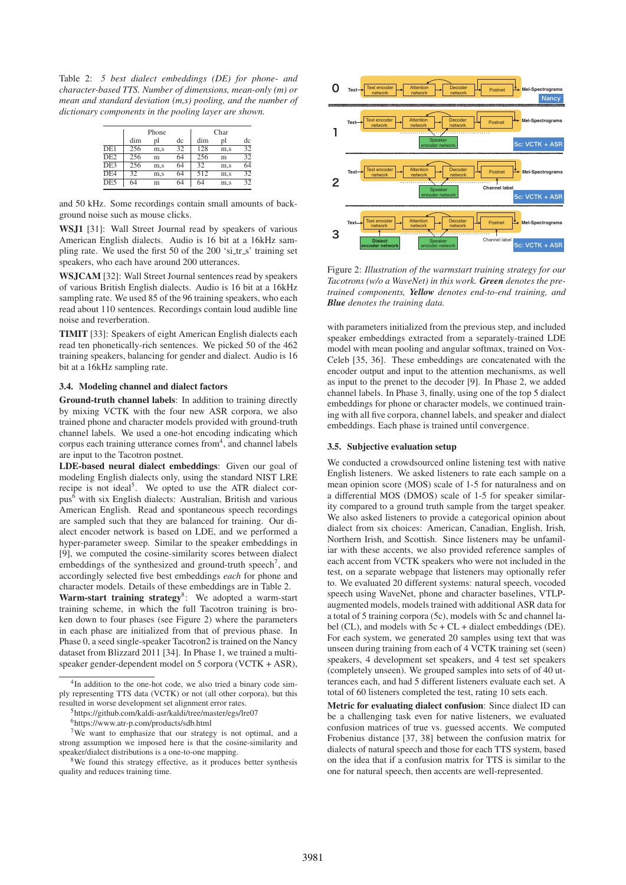Table 2: *5 best dialect embeddings (DE) for phone- and character-based TTS. Number of dimensions, mean-only (m) or mean and standard deviation (m,s) pooling, and the number of dictionary components in the pooling layer are shown.*

|                  | Phone |     |    | Char |     |    |
|------------------|-------|-----|----|------|-----|----|
|                  | dim   | pl  | dc | dim  | υl  | dc |
| DE1              | 256   | m.s | 32 | 128  | m.s | 32 |
| $\overline{DE2}$ | 256   | m   | 64 | 256  | m   | 32 |
| DE3              | 256   | m.s | 64 | 32   | m.s | 64 |
| DE4              | 32    | m.s | 64 | 512  | m.s | 32 |
| $\overline{DE5}$ | 64    | m   | 64 | 64   | m,s | 32 |

and 50 kHz. Some recordings contain small amounts of background noise such as mouse clicks.

WSJ1 [31]: Wall Street Journal read by speakers of various American English dialects. Audio is 16 bit at a 16kHz sampling rate. We used the first 50 of the 200 'si  $tr_s$ ' training set speakers, who each have around 200 utterances.

WSJCAM [32]: Wall Street Journal sentences read by speakers of various British English dialects. Audio is 16 bit at a 16kHz sampling rate. We used 85 of the 96 training speakers, who each read about 110 sentences. Recordings contain loud audible line noise and reverberation.

TIMIT [33]: Speakers of eight American English dialects each read ten phonetically-rich sentences. We picked 50 of the 462 training speakers, balancing for gender and dialect. Audio is 16 bit at a 16kHz sampling rate.

## 3.4. Modeling channel and dialect factors

Ground-truth channel labels: In addition to training directly by mixing VCTK with the four new ASR corpora, we also trained phone and character models provided with ground-truth channel labels. We used a one-hot encoding indicating which corpus each training utterance comes from<sup>4</sup>, and channel labels are input to the Tacotron postnet.

LDE-based neural dialect embeddings: Given our goal of modeling English dialects only, using the standard NIST LRE recipe is not ideal<sup>5</sup>. We opted to use the ATR dialect corpus6 with six English dialects: Australian, British and various American English. Read and spontaneous speech recordings are sampled such that they are balanced for training. Our dialect encoder network is based on LDE, and we performed a hyper-parameter sweep. Similar to the speaker embeddings in [9], we computed the cosine-similarity scores between dialect embeddings of the synthesized and ground-truth speech<sup>7</sup>, and accordingly selected five best embeddings *each* for phone and character models. Details of these embeddings are in Table 2.

Warm-start training strategy<sup>8</sup>: We adopted a warm-start training scheme, in which the full Tacotron training is broken down to four phases (see Figure 2) where the parameters in each phase are initialized from that of previous phase. In Phase 0, a seed single-speaker Tacotron2 is trained on the Nancy dataset from Blizzard 2011 [34]. In Phase 1, we trained a multispeaker gender-dependent model on 5 corpora (VCTK + ASR),



Figure 2: *Illustration of the warmstart training strategy for our Tacotrons (w/o a WaveNet) in this work. Green denotes the pretrained components, Yellow denotes end-to-end training, and Blue denotes the training data.*

with parameters initialized from the previous step, and included speaker embeddings extracted from a separately-trained LDE model with mean pooling and angular softmax, trained on Vox-Celeb [35, 36]. These embeddings are concatenated with the encoder output and input to the attention mechanisms, as well as input to the prenet to the decoder [9]. In Phase 2, we added channel labels. In Phase 3, finally, using one of the top 5 dialect embeddings for phone or character models, we continued training with all five corpora, channel labels, and speaker and dialect embeddings. Each phase is trained until convergence.

#### 3.5. Subjective evaluation setup

We conducted a crowdsourced online listening test with native English listeners. We asked listeners to rate each sample on a mean opinion score (MOS) scale of 1-5 for naturalness and on a differential MOS (DMOS) scale of 1-5 for speaker similarity compared to a ground truth sample from the target speaker. We also asked listeners to provide a categorical opinion about dialect from six choices: American, Canadian, English, Irish, Northern Irish, and Scottish. Since listeners may be unfamiliar with these accents, we also provided reference samples of each accent from VCTK speakers who were not included in the test, on a separate webpage that listeners may optionally refer to. We evaluated 20 different systems: natural speech, vocoded speech using WaveNet, phone and character baselines, VTLPaugmented models, models trained with additional ASR data for a total of 5 training corpora (5c), models with 5c and channel label (CL), and models with 5c + CL + dialect embeddings (DE). For each system, we generated 20 samples using text that was unseen during training from each of 4 VCTK training set (seen) speakers, 4 development set speakers, and 4 test set speakers (completely unseen). We grouped samples into sets of of 40 utterances each, and had 5 different listeners evaluate each set. A total of 60 listeners completed the test, rating 10 sets each.

Metric for evaluating dialect confusion: Since dialect ID can be a challenging task even for native listeners, we evaluated confusion matrices of true vs. guessed accents. We computed Frobenius distance [37, 38] between the confusion matrix for dialects of natural speech and those for each TTS system, based on the idea that if a confusion matrix for TTS is similar to the one for natural speech, then accents are well-represented.

<sup>&</sup>lt;sup>4</sup>In addition to the one-hot code, we also tried a binary code simply representing TTS data (VCTK) or not (all other corpora), but this resulted in worse development set alignment error rates.

<sup>5</sup>https://github.com/kaldi-asr/kaldi/tree/master/egs/lre07

<sup>6</sup>https://www.atr-p.com/products/sdb.html

<sup>&</sup>lt;sup>7</sup>We want to emphasize that our strategy is not optimal, and a strong assumption we imposed here is that the cosine-similarity and speaker/dialect distributions is a one-to-one mapping.

<sup>8</sup>We found this strategy effective, as it produces better synthesis quality and reduces training time.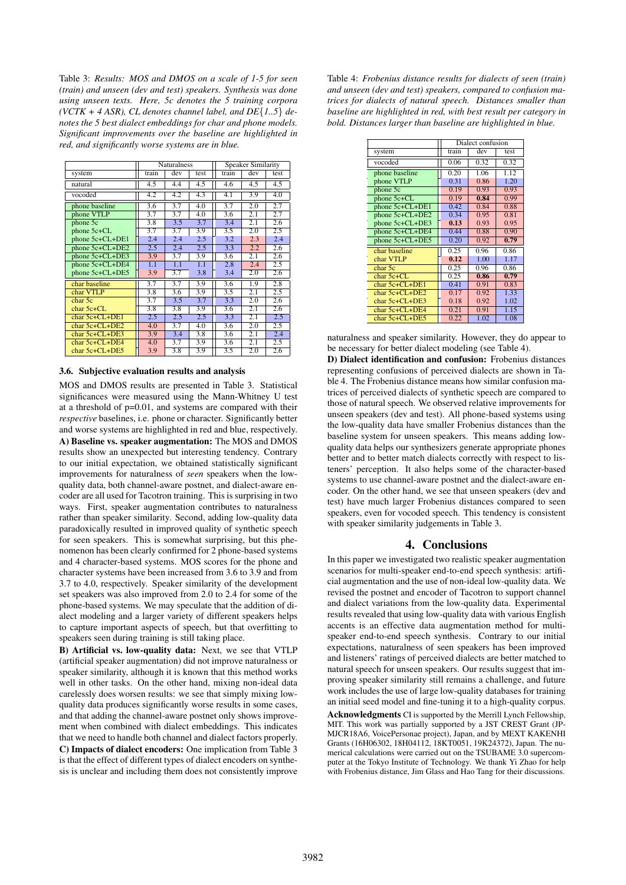Table 3: *Results: MOS and DMOS on a scale of 1-5 for seen (train) and unseen (dev and test) speakers. Synthesis was done using unseen texts. Here, 5c denotes the 5 training corpora (VCTK + 4 ASR), CL denotes channel label, and DE*{*1..5*} *denotes the 5 best dialect embeddings for char and phone models. Significant improvements over the baseline are highlighted in red, and significantly worse systems are in blue.*

|                      | <b>Naturalness</b> |     |       | <b>Speaker Similarity</b> |                  |      |
|----------------------|--------------------|-----|-------|---------------------------|------------------|------|
| system               | train              | dev | test. | train                     | dev              | test |
| natural              | 4.5                | 4.4 | 4.5   | 4.6                       | 4.5              | 4.5  |
| vocoded              | 4.2                | 4.2 | 4.3   | 4.1                       | 3.9              | 4.0  |
| phone baseline       | 3.6                | 3.7 | 4.0   | 3.7                       | $\overline{2.0}$ | 2.7  |
| phone VTLP           | $\overline{3.7}$   | 3.7 | 4.0   | 3.6                       | 2.1              | 2.7  |
| phone 5c             | 3.8                | 3.5 | 3.7   | 3.4                       | 2.1              | 2.6  |
| $phone 5c + CL$      | 3.7                | 3.7 | 3.9   | 3.5                       | 2.0              | 2.5  |
| phone 5c+CL+DE1      | 2.4                | 2.4 | 2.5   | 3.2                       | 2.3              | 2.4  |
| phone 5c+CL+DE2      | 2.5                | 2.4 | 2.5   | 3.3                       | 2.2              | 2.6  |
| phone 5c+CL+DE3      | 3.9                | 3.7 | 3.9   | 3.6                       | 2.1              | 2.6  |
| phone 5c+CL+DE4      | 1.1                | 1.1 | 1.1   | 2.8                       | 2.4              | 2.5  |
| phone 5c+CL+DE5      | 3.9                | 3.7 | 3.8   | 3.4                       | 2.0              | 2.6  |
| char baseline        | 3.7                | 3.7 | 3.9   | 3.6                       | 1.9              | 2.8  |
| char VTLP            | 3.8                | 3.6 | 3.9   | $\overline{3.5}$          | 2.1              | 2.5  |
| char 5c              | 3.7                | 3.5 | 3.7   | 3.3                       | 2.0              | 2.6  |
| $char 5c + CL$       | 3.8                | 3.8 | 3.9   | 3.6                       | 2.1              | 2.6  |
| $char 5c + CI + DE1$ | 2.5                | 2.5 | 2.5   | 3.3                       | 2.1              | 2.5  |
| char $5c + CL + DE2$ | 4.0                | 3.7 | 4.0   | 3.6                       | 2.0              | 2.5  |
| char 5c+CL+DE3       | 3.9                | 3.4 | 3.8   | 3.6                       | 2.1              | 2.4  |
| char $5c + CL + DE4$ | 4.0                | 3.7 | 3.9   | 3.6                       | 2.1              | 2.5  |
| char $5c + CL + DE5$ | 3.9                | 3.8 | 3.9   | 3.5                       | 2.0              | 2.6  |

#### 3.6. Subjective evaluation results and analysis

MOS and DMOS results are presented in Table 3. Statistical significances were measured using the Mann-Whitney U test at a threshold of p=0.01, and systems are compared with their *respective* baselines, i.e. phone or character. Significantly better and worse systems are highlighted in red and blue, respectively. A) Baseline vs. speaker augmentation: The MOS and DMOS results show an unexpected but interesting tendency. Contrary to our initial expectation, we obtained statistically significant improvements for naturalness of *seen* speakers when the lowquality data, both channel-aware postnet, and dialect-aware encoder are all used for Tacotron training. This is surprising in two ways. First, speaker augmentation contributes to naturalness rather than speaker similarity. Second, adding low-quality data paradoxically resulted in improved quality of synthetic speech for seen speakers. This is somewhat surprising, but this phenomenon has been clearly confirmed for 2 phone-based systems and 4 character-based systems. MOS scores for the phone and character systems have been increased from 3.6 to 3.9 and from 3.7 to 4.0, respectively. Speaker similarity of the development set speakers was also improved from 2.0 to 2.4 for some of the phone-based systems. We may speculate that the addition of dialect modeling and a larger variety of different speakers helps to capture important aspects of speech, but that overfitting to speakers seen during training is still taking place.

B) Artificial vs. low-quality data: Next, we see that VTLP (artificial speaker augmentation) did not improve naturalness or speaker similarity, although it is known that this method works well in other tasks. On the other hand, mixing non-ideal data carelessly does worsen results: we see that simply mixing lowquality data produces significantly worse results in some cases, and that adding the channel-aware postnet only shows improvement when combined with dialect embeddings. This indicates that we need to handle both channel and dialect factors properly. C) Impacts of dialect encoders: One implication from Table 3 is that the effect of different types of dialect encoders on synthesis is unclear and including them does not consistently improve

Table 4: *Frobenius distance results for dialects of seen (train) and unseen (dev and test) speakers, compared to confusion matrices for dialects of natural speech. Distances smaller than baseline are highlighted in red, with best result per category in bold. Distances larger than baseline are highlighted in blue.*

|                      | Dialect confusion |      |      |  |
|----------------------|-------------------|------|------|--|
| system               | train             | dev  | test |  |
| vocoded              | 0.06              | 0.32 | 0.32 |  |
| phone baseline       | 0.20              | 1.06 | 1.12 |  |
| phone VTLP           | 0.31              | 0.86 | 1.20 |  |
| phone 5c             | 0.19              | 0.93 | 0.93 |  |
| phone 5c+CL          | 0.19              | 0.84 | 0.99 |  |
| phone 5c+CL+DE1      | 0.42              | 0.84 | 0.88 |  |
| phone 5c+CL+DE2      | 0.34              | 0.95 | 0.81 |  |
| phone 5c+CL+DE3      | 0.13              | 0.93 | 0.95 |  |
| phone 5c+CL+DE4      | 0.44              | 0.88 | 0.90 |  |
| phone 5c+CL+DE5      | 0.20              | 0.92 | 0.79 |  |
| char baseline        | 0.25              | 0.96 | 0.86 |  |
| char VTLP            | 0.12              | 1.00 | 1.17 |  |
| char 5c              | 0.25              | 0.96 | 0.86 |  |
| char $5c + CL$       | 0.25              | 0.86 | 0.79 |  |
| char $5c + CL + DE1$ | 0.41              | 0.91 | 0.83 |  |
| char $5c + CL + DE2$ | 0.17              | 0.92 | 1.33 |  |
| char $5c + CL + DE3$ | 0.18              | 0.92 | 1.02 |  |
| char $5c + CL + DE4$ | 0.21              | 0.91 | 1.15 |  |
| $char 5c+CI + DE5$   | 0.22              | 1.02 | 1.08 |  |

naturalness and speaker similarity. However, they do appear to be necessary for better dialect modeling (see Table 4).

D) Dialect identification and confusion: Frobenius distances representing confusions of perceived dialects are shown in Table 4. The Frobenius distance means how similar confusion matrices of perceived dialects of synthetic speech are compared to those of natural speech. We observed relative improvements for unseen speakers (dev and test). All phone-based systems using the low-quality data have smaller Frobenius distances than the baseline system for unseen speakers. This means adding lowquality data helps our synthesizers generate appropriate phones better and to better match dialects correctly with respect to listeners' perception. It also helps some of the character-based systems to use channel-aware postnet and the dialect-aware encoder. On the other hand, we see that unseen speakers (dev and test) have much larger Frobenius distances compared to seen speakers, even for vocoded speech. This tendency is consistent with speaker similarity judgements in Table 3.

### 4. Conclusions

In this paper we investigated two realistic speaker augmentation scenarios for multi-speaker end-to-end speech synthesis: artificial augmentation and the use of non-ideal low-quality data. We revised the postnet and encoder of Tacotron to support channel and dialect variations from the low-quality data. Experimental results revealed that using low-quality data with various English accents is an effective data augmentation method for multispeaker end-to-end speech synthesis. Contrary to our initial expectations, naturalness of seen speakers has been improved and listeners' ratings of perceived dialects are better matched to natural speech for unseen speakers. Our results suggest that improving speaker similarity still remains a challenge, and future work includes the use of large low-quality databases for training an initial seed model and fine-tuning it to a high-quality corpus.

Acknowledgments CI is supported by the Merrill Lynch Fellowship, MIT. This work was partially supported by a JST CREST Grant (JP-MJCR18A6, VoicePersonae project), Japan, and by MEXT KAKENHI Grants (16H06302, 18H04112, 18KT0051, 19K24372), Japan. The numerical calculations were carried out on the TSUBAME 3.0 supercomputer at the Tokyo Institute of Technology. We thank Yi Zhao for help with Frobenius distance, Jim Glass and Hao Tang for their discussions.